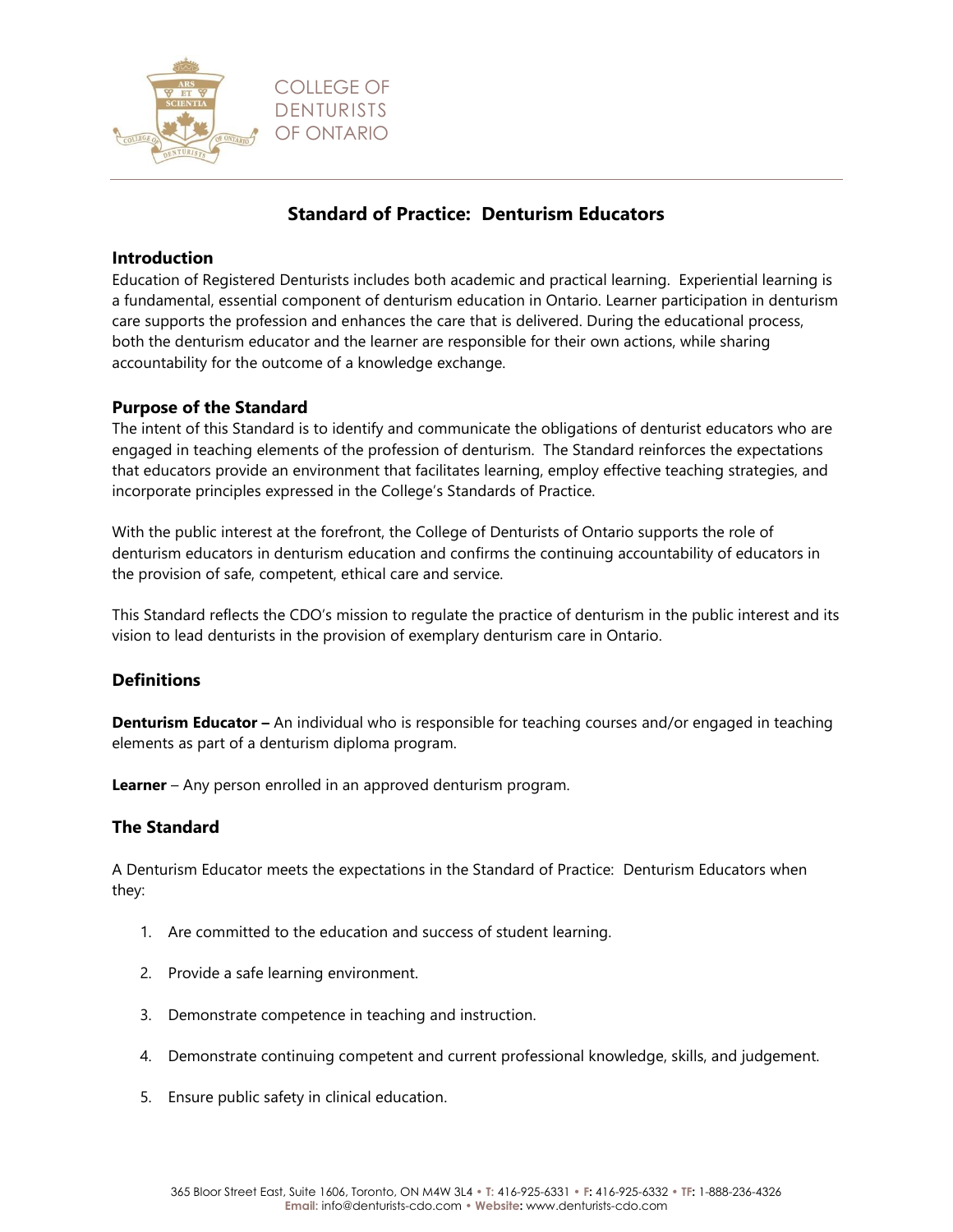

# **Standard of Practice: Denturism Educators**

#### **Introduction**

Education of Registered Denturists includes both academic and practical learning. Experiential learning is a fundamental, essential component of denturism education in Ontario. Learner participation in denturism care supports the profession and enhances the care that is delivered. During the educational process, both the denturism educator and the learner are responsible for their own actions, while sharing accountability for the outcome of a knowledge exchange.

## **Purpose of the Standard**

The intent of this Standard is to identify and communicate the obligations of denturist educators who are engaged in teaching elements of the profession of denturism. The Standard reinforces the expectations that educators provide an environment that facilitates learning, employ effective teaching strategies, and incorporate principles expressed in the College's Standards of Practice.

With the public interest at the forefront, the College of Denturists of Ontario supports the role of denturism educators in denturism education and confirms the continuing accountability of educators in the provision of safe, competent, ethical care and service.

This Standard reflects the CDO's mission to regulate the practice of denturism in the public interest and its vision to lead denturists in the provision of exemplary denturism care in Ontario.

## **Definitions**

**Denturism Educator –** An individual who is responsible for teaching courses and/or engaged in teaching elements as part of a denturism diploma program.

**Learner** – Any person enrolled in an approved denturism program.

#### **The Standard**

A Denturism Educator meets the expectations in the Standard of Practice: Denturism Educators when they:

- 1. Are committed to the education and success of student learning.
- 2. Provide a safe learning environment.
- 3. Demonstrate competence in teaching and instruction.
- 4. Demonstrate continuing competent and current professional knowledge, skills, and judgement.
- 5. Ensure public safety in clinical education.